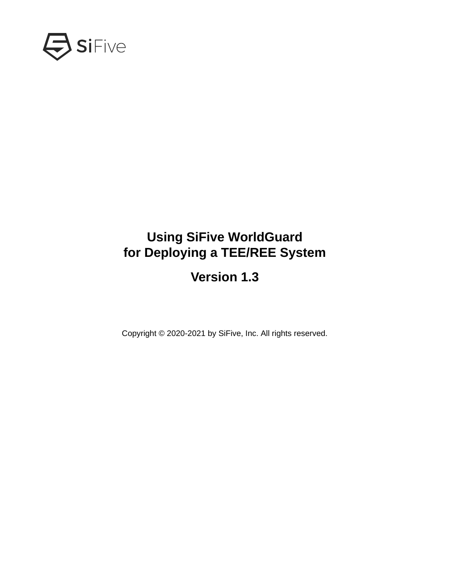

## **Using SiFive WorldGuard for Deploying a TEE/REE System**

## **Version 1.3**

Copyright © 2020-2021 by SiFive, Inc. All rights reserved.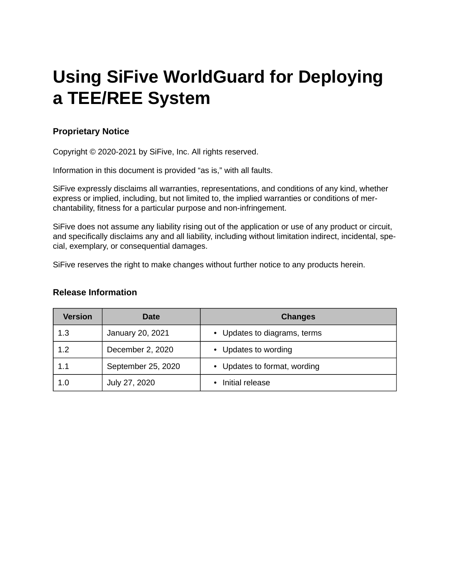# **Using SiFive WorldGuard for Deploying a TEE/REE System**

#### **Proprietary Notice**

Copyright © 2020-2021 by SiFive, Inc. All rights reserved.

Information in this document is provided "as is," with all faults.

SiFive expressly disclaims all warranties, representations, and conditions of any kind, whether express or implied, including, but not limited to, the implied warranties or conditions of merchantability, fitness for a particular purpose and non-infringement.

SiFive does not assume any liability rising out of the application or use of any product or circuit, and specifically disclaims any and all liability, including without limitation indirect, incidental, special, exemplary, or consequential damages.

SiFive reserves the right to make changes without further notice to any products herein.

#### **Release Information**

| <b>Version</b> | Date               | <b>Changes</b>               |
|----------------|--------------------|------------------------------|
| 1.3            | January 20, 2021   | • Updates to diagrams, terms |
| 1.2            | December 2, 2020   | • Updates to wording         |
| $1.1\,$        | September 25, 2020 | • Updates to format, wording |
| 1.0            | July 27, 2020      | Initial release              |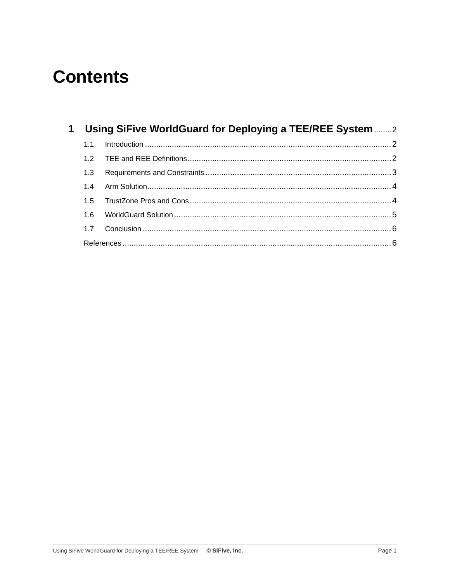## **Contents**

|     | 1 Using SiFive WorldGuard for Deploying a TEE/REE System 2 |  |
|-----|------------------------------------------------------------|--|
| 1.1 |                                                            |  |
|     |                                                            |  |
| 1.3 |                                                            |  |
|     |                                                            |  |
| 15  |                                                            |  |
|     |                                                            |  |
|     |                                                            |  |
|     |                                                            |  |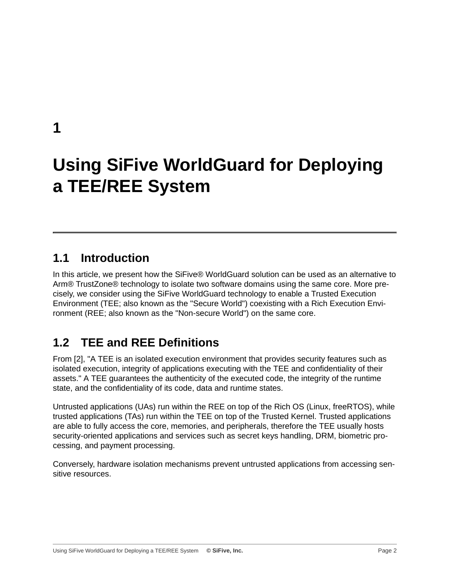<span id="page-3-0"></span>**[1](#page-3-0)**

# **[Using SiFive WorldGuard for Deploying](#page-3-0) a TEE/REE System**

#### <span id="page-3-1"></span>**[1.1 Introduction](#page-3-1)**

In this article, we present how the SiFive® WorldGuard solution can be used as an alternative to Arm® TrustZone® technology to isolate two software domains using the same core. More precisely, we consider using the SiFive WorldGuard technology to enable a Trusted Execution Environment (TEE; also known as the "Secure World") coexisting with a Rich Execution Environment (REE; also known as the "Non-secure World") on the same core.

### <span id="page-3-2"></span>**[1.2 TEE and REE Definitions](#page-3-2)**

From [[2\]](#page-7-2), "A TEE is an isolated execution environment that provides security features such as isolated execution, integrity of applications executing with the TEE and confidentiality of their assets." A TEE guarantees the authenticity of the executed code, the integrity of the runtime state, and the confidentiality of its code, data and runtime states.

Untrusted applications (UAs) run within the REE on top of the Rich OS (Linux, freeRTOS), while trusted applications (TAs) run within the TEE on top of the Trusted Kernel. Trusted applications are able to fully access the core, memories, and peripherals, therefore the TEE usually hosts security-oriented applications and services such as secret keys handling, DRM, biometric processing, and payment processing.

Conversely, hardware isolation mechanisms prevent untrusted applications from accessing sensitive resources.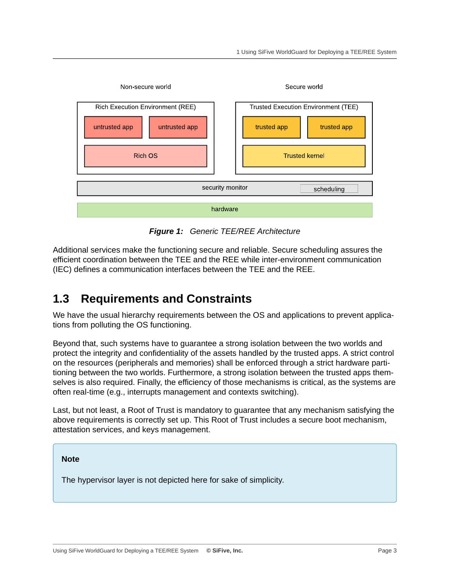

*Figure 1: Generic TEE/REE Architecture*

Additional services make the functioning secure and reliable. Secure scheduling assures the efficient coordination between the TEE and the REE while inter-environment communication (IEC) defines a communication interfaces between the TEE and the REE.

#### <span id="page-4-0"></span>**[1.3 Requirements and Constraints](#page-4-0)**

We have the usual hierarchy requirements between the OS and applications to prevent applications from polluting the OS functioning.

Beyond that, such systems have to guarantee a strong isolation between the two worlds and protect the integrity and confidentiality of the assets handled by the trusted apps. A strict control on the resources (peripherals and memories) shall be enforced through a strict hardware partitioning between the two worlds. Furthermore, a strong isolation between the trusted apps themselves is also required. Finally, the efficiency of those mechanisms is critical, as the systems are often real-time (e.g., interrupts management and contexts switching).

Last, but not least, a Root of Trust is mandatory to guarantee that any mechanism satisfying the above requirements is correctly set up. This Root of Trust includes a secure boot mechanism, attestation services, and keys management.

#### **Note**

The hypervisor layer is not depicted here for sake of simplicity.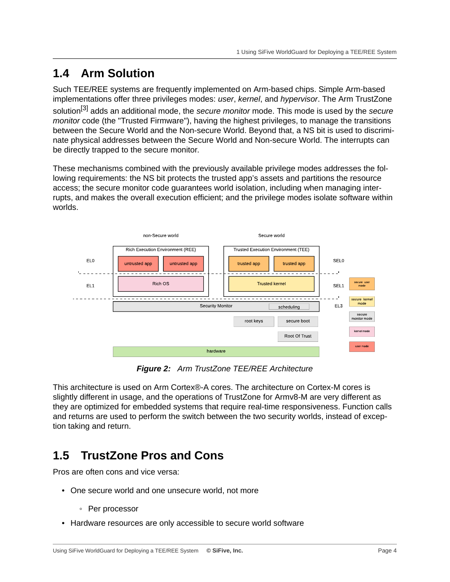### <span id="page-5-0"></span>**[1.4 Arm Solution](#page-5-0)**

Such TEE/REE systems are frequently implemented on Arm-based chips. Simple Arm-based implementations offer three privileges modes: *user*, *kernel*, and *hypervisor*. The Arm TrustZone solution[\[3\]](#page-7-3) adds an additional mode, the *secure monitor* mode. This mode is used by the *secure monitor* code (the "Trusted Firmware"), having the highest privileges, to manage the transitions between the Secure World and the Non-secure World. Beyond that, a NS bit is used to discriminate physical addresses between the Secure World and Non-secure World. The interrupts can be directly trapped to the secure monitor.

These mechanisms combined with the previously available privilege modes addresses the following requirements: the NS bit protects the trusted app's assets and partitions the resource access; the secure monitor code guarantees world isolation, including when managing interrupts, and makes the overall execution efficient; and the privilege modes isolate software within worlds.



*Figure 2: Arm TrustZone TEE/REE Architecture*

This architecture is used on Arm Cortex®-A cores. The architecture on Cortex-M cores is slightly different in usage, and the operations of TrustZone for Armv8-M are very different as they are optimized for embedded systems that require real-time responsiveness. Function calls and returns are used to perform the switch between the two security worlds, instead of exception taking and return.

### <span id="page-5-1"></span>**[1.5 TrustZone Pros and Cons](#page-5-1)**

Pros are often cons and vice versa:

- One secure world and one unsecure world, not more
	- Per processor
- Hardware resources are only accessible to secure world software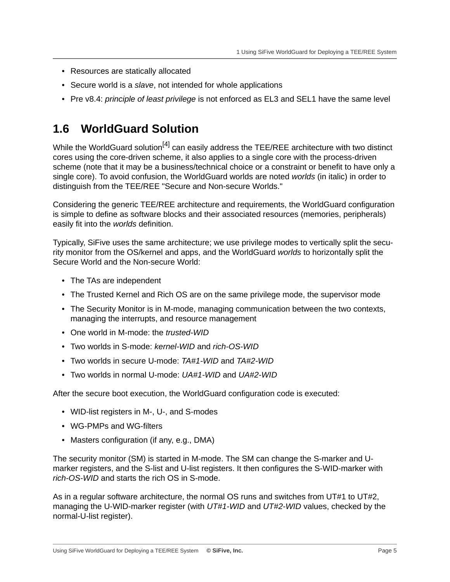- Resources are statically allocated
- Secure world is a *slave*, not intended for whole applications
- Pre v8.4: *principle of least privilege* is not enforced as EL3 and SEL1 have the same level

#### <span id="page-6-0"></span>**[1.6 WorldGuard Solution](#page-6-0)**

While the WorldGuard solution<sup>[[4\]](#page-7-4)</sup> can easily address the TEE/REE architecture with two distinct cores using the core-driven scheme, it also applies to a single core with the process-driven scheme (note that it may be a business/technical choice or a constraint or benefit to have only a single core). To avoid confusion, the WorldGuard worlds are noted *worlds* (in italic) in order to distinguish from the TEE/REE "Secure and Non-secure Worlds."

Considering the generic TEE/REE architecture and requirements, the WorldGuard configuration is simple to define as software blocks and their associated resources (memories, peripherals) easily fit into the *worlds* definition.

Typically, SiFive uses the same architecture; we use privilege modes to vertically split the security monitor from the OS/kernel and apps, and the WorldGuard *worlds* to horizontally split the Secure World and the Non-secure World:

- The TAs are independent
- The Trusted Kernel and Rich OS are on the same privilege mode, the supervisor mode
- The Security Monitor is in M-mode, managing communication between the two contexts, managing the interrupts, and resource management
- One world in M-mode: the *trusted-WID*
- Two worlds in S-mode: *kernel-WID* and *rich-OS-WID*
- Two worlds in secure U-mode: *TA#1-WID* and *TA#2-WID*
- Two worlds in normal U-mode: *UA#1-WID* and *UA#2-WID*

After the secure boot execution, the WorldGuard configuration code is executed:

- WID-list registers in M-, U-, and S-modes
- WG-PMPs and WG-filters
- Masters configuration (if any, e.g., DMA)

The security monitor (SM) is started in M-mode. The SM can change the S-marker and Umarker registers, and the S-list and U-list registers. It then configures the S-WID-marker with *rich-OS-WID* and starts the rich OS in S-mode.

As in a regular software architecture, the normal OS runs and switches from UT#1 to UT#2, managing the U-WID-marker register (with *UT#1-WID* and *UT#2-WID* values, checked by the normal-U-list register).